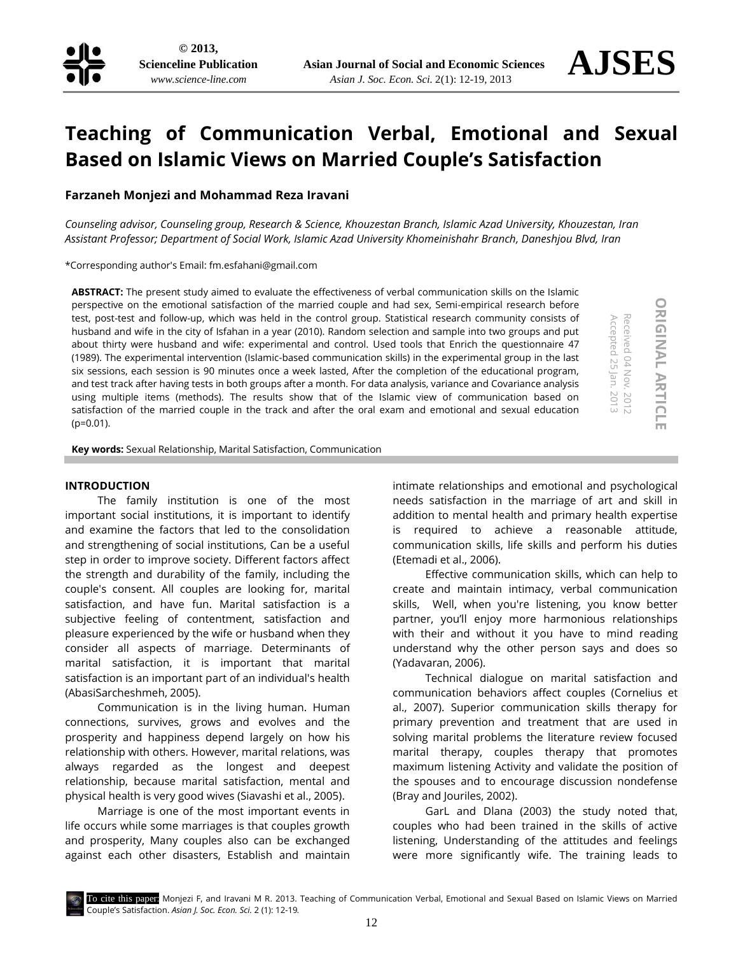

# **Teaching of Communication Verbal, Emotional and Sexual Based on Islamic Views on Married Couple's Satisfaction**

# **Farzaneh Monjezi and Mohammad Reza Iravani**

*Counseling advisor, Counseling group, Research & Science, Khouzestan Branch, Islamic Azad University, Khouzestan, Iran Assistant Professor; Department of Social Work, Islamic Azad University Khomeinishahr Branch, Daneshjou Blvd, Iran*

\*Corresponding author's Email[: fm.esfahani@gmail.com](mailto:fm.esfahani@gmail.com)

**ABSTRACT:** The present study aimed to evaluate the effectiveness of verbal communication skills on the Islamic perspective on the emotional satisfaction of the married couple and had sex, Semi-empirical research before test, post-test and follow-up, which was held in the control group. Statistical research community consists of husband and wife in the city of Isfahan in a year (2010). Random selection and sample into two groups and put about thirty were husband and wife: experimental and control. Used tools that Enrich the questionnaire 47 (1989). The experimental intervention (Islamic-based communication skills) in the experimental group in the last six sessions, each session is 90 minutes once a week lasted, After the completion of the educational program, and test track after having tests in both groups after a month. For data analysis, variance and Covariance analysis using multiple items (methods). The results show that of the Islamic view of communication based on satisfaction of the married couple in the track and after the oral exam and emotional and sexual education (p=0.01).

**ORIGINAL ARTICLE ORIGINAL** Accepted 25 Jan. Received 04 Nov. Received 04 Nov. 2012 **ARTICLE** .2013 - 2012

Accepted 25 Jan. 2013

**Key words:** Sexual Relationship, Marital Satisfaction, Communication

## **INTRODUCTION**

The family institution is one of the most important social institutions, it is important to identify and examine the factors that led to the consolidation and strengthening of social institutions, Can be a useful step in order to improve society. Different factors affect the strength and durability of the family, including the couple's consent. All couples are looking for, marital satisfaction, and have fun. Marital satisfaction is a subjective feeling of contentment, satisfaction and pleasure experienced by the wife or husband when they consider all aspects of marriage. Determinants of marital satisfaction, it is important that marital satisfaction is an important part of an individual's health (AbasiSarcheshmeh, 2005).

Communication is in the living human. Human connections, survives, grows and evolves and the prosperity and happiness depend largely on how his relationship with others. However, marital relations, was always regarded as the longest and deepest relationship, because marital satisfaction, mental and physical health is very good wives (Siavashi et al., 2005).

Marriage is one of the most important events in life occurs while some marriages is that couples growth and prosperity, Many couples also can be exchanged against each other disasters, Establish and maintain

intimate relationships and emotional and psychological needs satisfaction in the marriage of art and skill in addition to mental health and primary health expertise is required to achieve a reasonable attitude, communication skills, life skills and perform his duties (Etemadi et al., 2006).

Effective communication skills, which can help to create and maintain intimacy, verbal communication skills, Well, when you're listening, you know better partner, you'll enjoy more harmonious relationships with their and without it you have to mind reading understand why the other person says and does so (Yadavaran, 2006).

Technical dialogue on marital satisfaction and communication behaviors affect couples (Cornelius et al., 2007). Superior communication skills therapy for primary prevention and treatment that are used in solving marital problems the literature review focused marital therapy, couples therapy that promotes maximum listening Activity and validate the position of the spouses and to encourage discussion nondefense (Bray and Jouriles, 2002).

GarL and Dlana (2003) the study noted that, couples who had been trained in the skills of active listening, Understanding of the attitudes and feelings were more significantly wife. The training leads to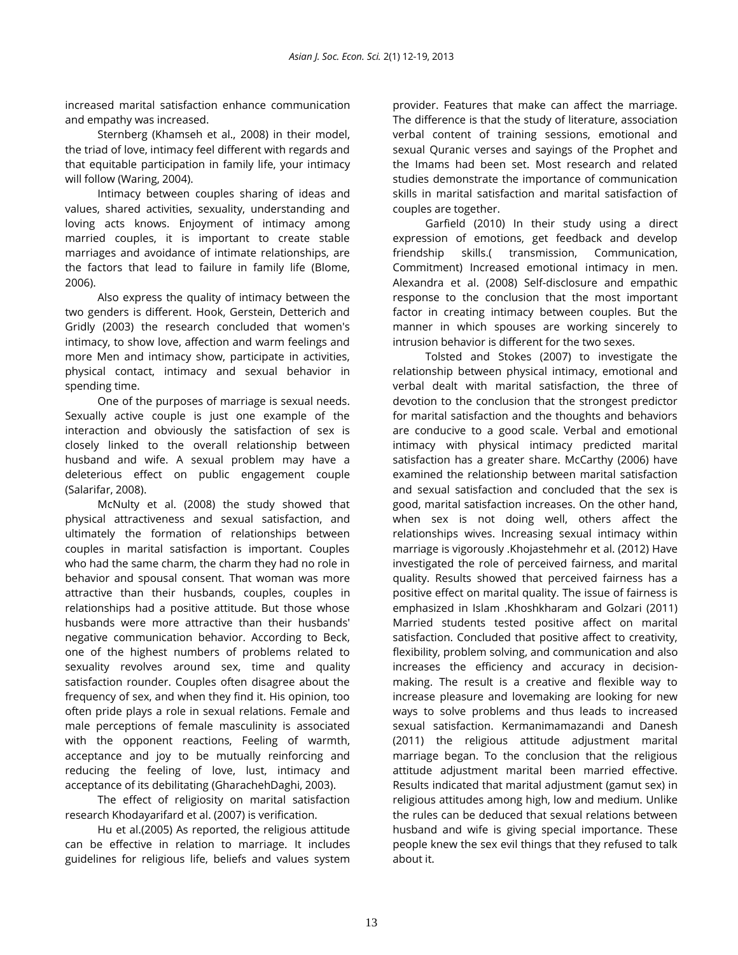increased marital satisfaction enhance communication and empathy was increased.

Sternberg (Khamseh et al., 2008) in their model, the triad of love, intimacy feel different with regards and that equitable participation in family life, your intimacy will follow (Waring, 2004).

Intimacy between couples sharing of ideas and values, shared activities, sexuality, understanding and loving acts knows. Enjoyment of intimacy among married couples, it is important to create stable marriages and avoidance of intimate relationships, are the factors that lead to failure in family life (Blome, 2006).

Also express the quality of intimacy between the two genders is different. Hook, Gerstein, Detterich and Gridly (2003) the research concluded that women's intimacy, to show love, affection and warm feelings and more Men and intimacy show, participate in activities, physical contact, intimacy and sexual behavior in spending time.

One of the purposes of marriage is sexual needs. Sexually active couple is just one example of the interaction and obviously the satisfaction of sex is closely linked to the overall relationship between husband and wife. A sexual problem may have a deleterious effect on public engagement couple (Salarifar, 2008).

McNulty et al. (2008) the study showed that physical attractiveness and sexual satisfaction, and ultimately the formation of relationships between couples in marital satisfaction is important. Couples who had the same charm, the charm they had no role in behavior and spousal consent. That woman was more attractive than their husbands, couples, couples in relationships had a positive attitude. But those whose husbands were more attractive than their husbands' negative communication behavior. According to Beck, one of the highest numbers of problems related to sexuality revolves around sex, time and quality satisfaction rounder. Couples often disagree about the frequency of sex, and when they find it. His opinion, too often pride plays a role in sexual relations. Female and male perceptions of female masculinity is associated with the opponent reactions, Feeling of warmth, acceptance and joy to be mutually reinforcing and reducing the feeling of love, lust, intimacy and acceptance of its debilitating (GharachehDaghi, 2003).

The effect of religiosity on marital satisfaction research Khodayarifard et al. (2007) is verification.

Hu et al.(2005) As reported, the religious attitude can be effective in relation to marriage. It includes guidelines for religious life, beliefs and values system provider. Features that make can affect the marriage. The difference is that the study of literature, association verbal content of training sessions, emotional and sexual Quranic verses and sayings of the Prophet and the Imams had been set. Most research and related studies demonstrate the importance of communication skills in marital satisfaction and marital satisfaction of couples are together.

Garfield (2010) In their study using a direct expression of emotions, get feedback and develop friendship skills.( transmission, Communication, Commitment) Increased emotional intimacy in men. Alexandra et al. (2008) Self-disclosure and empathic response to the conclusion that the most important factor in creating intimacy between couples. But the manner in which spouses are working sincerely to intrusion behavior is different for the two sexes.

Tolsted and Stokes (2007) to investigate the relationship between physical intimacy, emotional and verbal dealt with marital satisfaction, the three of devotion to the conclusion that the strongest predictor for marital satisfaction and the thoughts and behaviors are conducive to a good scale. Verbal and emotional intimacy with physical intimacy predicted marital satisfaction has a greater share. McCarthy (2006) have examined the relationship between marital satisfaction and sexual satisfaction and concluded that the sex is good, marital satisfaction increases. On the other hand, when sex is not doing well, others affect the relationships wives. Increasing sexual intimacy within marriage is vigorously .Khojastehmehr et al. (2012) Have investigated the role of perceived fairness, and marital quality. Results showed that perceived fairness has a positive effect on marital quality. The issue of fairness is emphasized in Islam .Khoshkharam and Golzari (2011) Married students tested positive affect on marital satisfaction. Concluded that positive affect to creativity, flexibility, problem solving, and communication and also increases the efficiency and accuracy in decisionmaking. The result is a creative and flexible way to increase pleasure and lovemaking are looking for new ways to solve problems and thus leads to increased sexual satisfaction. Kermanimamazandi and Danesh (2011) the religious attitude adjustment marital marriage began. To the conclusion that the religious attitude adjustment marital been married effective. Results indicated that marital adjustment (gamut sex) in religious attitudes among high, low and medium. Unlike the rules can be deduced that sexual relations between husband and wife is giving special importance. These people knew the sex evil things that they refused to talk about it.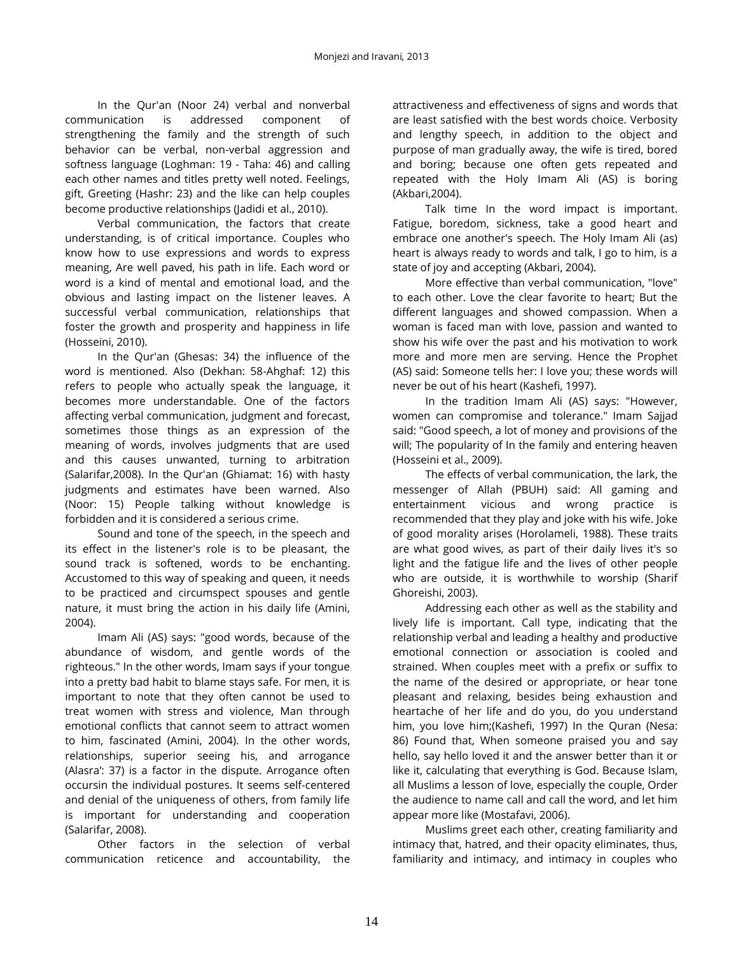In the Qur'an (Noor 24) verbal and nonverbal communication is addressed component of strengthening the family and the strength of such behavior can be verbal, non-verbal aggression and softness language (Loghman: 19 - Taha: 46) and calling each other names and titles pretty well noted. Feelings, gift, Greeting (Hashr: 23) and the like can help couples become productive relationships (Jadidi et al., 2010).

Verbal communication, the factors that create understanding, is of critical importance. Couples who know how to use expressions and words to express meaning, Are well paved, his path in life. Each word or word is a kind of mental and emotional load, and the obvious and lasting impact on the listener leaves. A successful verbal communication, relationships that foster the growth and prosperity and happiness in life (Hosseini, 2010).

In the Qur'an (Ghesas: 34) the influence of the word is mentioned. Also (Dekhan: 58-Ahghaf: 12) this refers to people who actually speak the language, it becomes more understandable. One of the factors affecting verbal communication, judgment and forecast, sometimes those things as an expression of the meaning of words, involves judgments that are used and this causes unwanted, turning to arbitration (Salarifar,2008). In the Qur'an (Ghiamat: 16) with hasty judgments and estimates have been warned. Also (Noor: 15) People talking without knowledge is forbidden and it is considered a serious crime.

Sound and tone of the speech, in the speech and its effect in the listener's role is to be pleasant, the sound track is softened, words to be enchanting. Accustomed to this way of speaking and queen, it needs to be practiced and circumspect spouses and gentle nature, it must bring the action in his daily life (Amini, 2004).

Imam Ali (AS) says: "good words, because of the abundance of wisdom, and gentle words of the righteous." In the other words, Imam says if your tongue into a pretty bad habit to blame stays safe. For men, it is important to note that they often cannot be used to treat women with stress and violence, Man through emotional conflicts that cannot seem to attract women to him, fascinated (Amini, 2004). In the other words, relationships, superior seeing his, and arrogance (Alasra': 37) is a factor in the dispute. Arrogance often occursin the individual postures. It seems self-centered and denial of the uniqueness of others, from family life is important for understanding and cooperation (Salarifar, 2008).

Other factors in the selection of verbal communication reticence and accountability, the attractiveness and effectiveness of signs and words that are least satisfied with the best words choice. Verbosity and lengthy speech, in addition to the object and purpose of man gradually away, the wife is tired, bored and boring; because one often gets repeated and repeated with the Holy Imam Ali (AS) is boring (Akbari,2004).

Talk time In the word impact is important. Fatigue, boredom, sickness, take a good heart and embrace one another's speech. The Holy Imam Ali (as) heart is always ready to words and talk, I go to him, is a state of joy and accepting (Akbari, 2004).

More effective than verbal communication, "love" to each other. Love the clear favorite to heart; But the different languages and showed compassion. When a woman is faced man with love, passion and wanted to show his wife over the past and his motivation to work more and more men are serving. Hence the Prophet (AS) said: Someone tells her: I love you; these words will never be out of his heart (Kashefi, 1997).

In the tradition Imam Ali (AS) says: "However, women can compromise and tolerance." Imam Sajjad said: "Good speech, a lot of money and provisions of the will; The popularity of In the family and entering heaven (Hosseini et al., 2009).

The effects of verbal communication, the lark, the messenger of Allah (PBUH) said: All gaming and entertainment vicious and wrong practice is recommended that they play and joke with his wife. Joke of good morality arises (Horolameli, 1988). These traits are what good wives, as part of their daily lives it's so light and the fatigue life and the lives of other people who are outside, it is worthwhile to worship (Sharif Ghoreishi, 2003).

Addressing each other as well as the stability and lively life is important. Call type, indicating that the relationship verbal and leading a healthy and productive emotional connection or association is cooled and strained. When couples meet with a prefix or suffix to the name of the desired or appropriate, or hear tone pleasant and relaxing, besides being exhaustion and heartache of her life and do you, do you understand him, you love him;(Kashefi, 1997) In the Quran (Nesa: 86) Found that, When someone praised you and say hello, say hello loved it and the answer better than it or like it, calculating that everything is God. Because Islam, all Muslims a lesson of love, especially the couple, Order the audience to name call and call the word, and let him appear more like (Mostafavi, 2006).

Muslims greet each other, creating familiarity and intimacy that, hatred, and their opacity eliminates, thus, familiarity and intimacy, and intimacy in couples who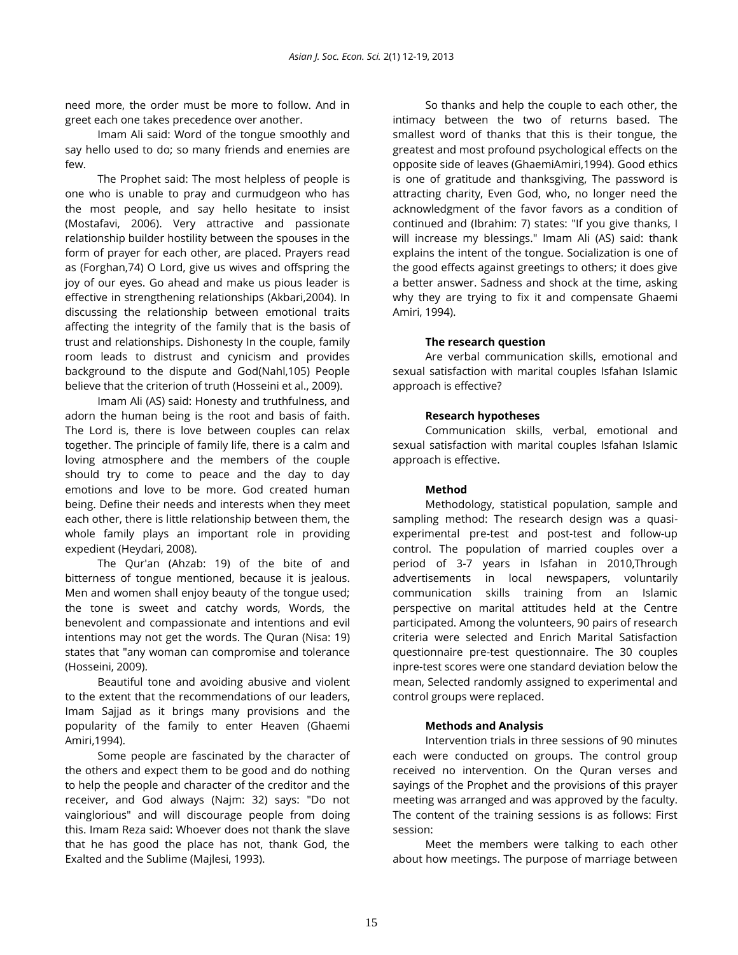need more, the order must be more to follow. And in greet each one takes precedence over another.

Imam Ali said: Word of the tongue smoothly and say hello used to do; so many friends and enemies are few.

The Prophet said: The most helpless of people is one who is unable to pray and curmudgeon who has the most people, and say hello hesitate to insist (Mostafavi, 2006). Very attractive and passionate relationship builder hostility between the spouses in the form of prayer for each other, are placed. Prayers read as (Forghan,74) O Lord, give us wives and offspring the joy of our eyes. Go ahead and make us pious leader is effective in strengthening relationships (Akbari,2004). In discussing the relationship between emotional traits affecting the integrity of the family that is the basis of trust and relationships. Dishonesty In the couple, family room leads to distrust and cynicism and provides background to the dispute and God(Nahl,105) People believe that the criterion of truth (Hosseini et al., 2009).

Imam Ali (AS) said: Honesty and truthfulness, and adorn the human being is the root and basis of faith. The Lord is, there is love between couples can relax together. The principle of family life, there is a calm and loving atmosphere and the members of the couple should try to come to peace and the day to day emotions and love to be more. God created human being. Define their needs and interests when they meet each other, there is little relationship between them, the whole family plays an important role in providing expedient (Heydari, 2008).

The Qur'an (Ahzab: 19) of the bite of and bitterness of tongue mentioned, because it is jealous. Men and women shall enjoy beauty of the tongue used; the tone is sweet and catchy words, Words, the benevolent and compassionate and intentions and evil intentions may not get the words. The Quran (Nisa: 19) states that "any woman can compromise and tolerance (Hosseini, 2009).

Beautiful tone and avoiding abusive and violent to the extent that the recommendations of our leaders, Imam Sajjad as it brings many provisions and the popularity of the family to enter Heaven (Ghaemi Amiri,1994).

Some people are fascinated by the character of the others and expect them to be good and do nothing to help the people and character of the creditor and the receiver, and God always (Najm: 32) says: "Do not vainglorious" and will discourage people from doing this. Imam Reza said: Whoever does not thank the slave that he has good the place has not, thank God, the Exalted and the Sublime (Majlesi, 1993).

So thanks and help the couple to each other, the intimacy between the two of returns based. The smallest word of thanks that this is their tongue, the greatest and most profound psychological effects on the opposite side of leaves (GhaemiAmiri,1994). Good ethics is one of gratitude and thanksgiving, The password is attracting charity, Even God, who, no longer need the acknowledgment of the favor favors as a condition of continued and (Ibrahim: 7) states: "If you give thanks, I will increase my blessings." Imam Ali (AS) said: thank explains the intent of the tongue. Socialization is one of the good effects against greetings to others; it does give a better answer. Sadness and shock at the time, asking why they are trying to fix it and compensate Ghaemi Amiri, 1994).

## **The research question**

Are verbal communication skills, emotional and sexual satisfaction with marital couples Isfahan Islamic approach is effective?

#### **Research hypotheses**

Communication skills, verbal, emotional and sexual satisfaction with marital couples Isfahan Islamic approach is effective.

#### **Method**

Methodology, statistical population, sample and sampling method: The research design was a quasiexperimental pre-test and post-test and follow-up control. The population of married couples over a period of 3-7 years in Isfahan in 2010,Through advertisements in local newspapers, voluntarily communication skills training from an Islamic perspective on marital attitudes held at the Centre participated. Among the volunteers, 90 pairs of research criteria were selected and Enrich Marital Satisfaction questionnaire pre-test questionnaire. The 30 couples inpre-test scores were one standard deviation below the mean, Selected randomly assigned to experimental and control groups were replaced.

## **Methods and Analysis**

Intervention trials in three sessions of 90 minutes each were conducted on groups. The control group received no intervention. On the Quran verses and sayings of the Prophet and the provisions of this prayer meeting was arranged and was approved by the faculty. The content of the training sessions is as follows: First session:

Meet the members were talking to each other about how meetings. The purpose of marriage between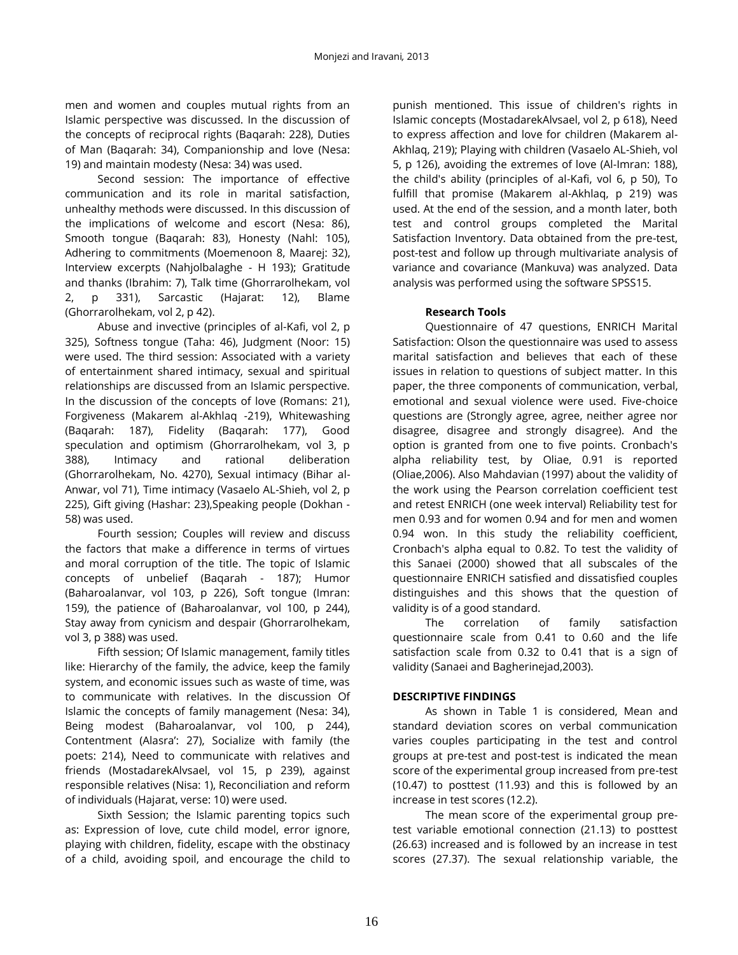men and women and couples mutual rights from an Islamic perspective was discussed. In the discussion of the concepts of reciprocal rights (Baqarah: 228), Duties of Man (Baqarah: 34), Companionship and love (Nesa: 19) and maintain modesty (Nesa: 34) was used.

Second session: The importance of effective communication and its role in marital satisfaction, unhealthy methods were discussed. In this discussion of the implications of welcome and escort (Nesa: 86), Smooth tongue (Baqarah: 83), Honesty (Nahl: 105), Adhering to commitments (Moemenoon 8, Maarej: 32), Interview excerpts (Nahjolbalaghe - H 193); Gratitude and thanks (Ibrahim: 7), Talk time (Ghorrarolhekam, vol 2, p 331), Sarcastic (Hajarat: 12), Blame (Ghorrarolhekam, vol 2, p 42).

Abuse and invective (principles of al-Kafi, vol 2, p 325), Softness tongue (Taha: 46), Judgment (Noor: 15) were used. The third session: Associated with a variety of entertainment shared intimacy, sexual and spiritual relationships are discussed from an Islamic perspective. In the discussion of the concepts of love (Romans: 21), Forgiveness (Makarem al-Akhlaq -219), Whitewashing (Baqarah: 187), Fidelity (Baqarah: 177), Good speculation and optimism (Ghorrarolhekam, vol 3, p 388), Intimacy and rational deliberation (Ghorrarolhekam, No. 4270), Sexual intimacy (Bihar al-Anwar, vol 71), Time intimacy (Vasaelo AL-Shieh, vol 2, p 225), Gift giving (Hashar: 23),Speaking people (Dokhan - 58) was used.

Fourth session; Couples will review and discuss the factors that make a difference in terms of virtues and moral corruption of the title. The topic of Islamic concepts of unbelief (Baqarah - 187); Humor (Baharoalanvar, vol 103, p 226), Soft tongue (Imran: 159), the patience of (Baharoalanvar, vol 100, p 244), Stay away from cynicism and despair (Ghorrarolhekam, vol 3, p 388) was used.

Fifth session; Of Islamic management, family titles like: Hierarchy of the family, the advice, keep the family system, and economic issues such as waste of time, was to communicate with relatives. In the discussion Of Islamic the concepts of family management (Nesa: 34), Being modest (Baharoalanvar, vol 100, p 244), Contentment (Alasra': 27), Socialize with family (the poets: 214), Need to communicate with relatives and friends (MostadarekAlvsael, vol 15, p 239), against responsible relatives (Nisa: 1), Reconciliation and reform of individuals (Hajarat, verse: 10) were used.

Sixth Session; the Islamic parenting topics such as: Expression of love, cute child model, error ignore, playing with children, fidelity, escape with the obstinacy of a child, avoiding spoil, and encourage the child to

punish mentioned. This issue of children's rights in Islamic concepts (MostadarekAlvsael, vol 2, p 618), Need to express affection and love for children (Makarem al-Akhlaq, 219); Playing with children (Vasaelo AL-Shieh, vol 5, p 126), avoiding the extremes of love (Al-Imran: 188), the child's ability (principles of al-Kafi, vol 6, p 50), To fulfill that promise (Makarem al-Akhlaq, p 219) was used. At the end of the session, and a month later, both test and control groups completed the Marital Satisfaction Inventory. Data obtained from the pre-test, post-test and follow up through multivariate analysis of variance and covariance (Mankuva) was analyzed. Data analysis was performed using the software SPSS15.

## **Research Tools**

Questionnaire of 47 questions, ENRICH Marital Satisfaction: Olson the questionnaire was used to assess marital satisfaction and believes that each of these issues in relation to questions of subject matter. In this paper, the three components of communication, verbal, emotional and sexual violence were used. Five-choice questions are (Strongly agree, agree, neither agree nor disagree, disagree and strongly disagree). And the option is granted from one to five points. Cronbach's alpha reliability test, by Oliae, 0.91 is reported (Oliae,2006). Also Mahdavian (1997) about the validity of the work using the Pearson correlation coefficient test and retest ENRICH (one week interval) Reliability test for men 0.93 and for women 0.94 and for men and women 0.94 won. In this study the reliability coefficient, Cronbach's alpha equal to 0.82. To test the validity of this Sanaei (2000) showed that all subscales of the questionnaire ENRICH satisfied and dissatisfied couples distinguishes and this shows that the question of validity is of a good standard.

The correlation of family satisfaction questionnaire scale from 0.41 to 0.60 and the life satisfaction scale from 0.32 to 0.41 that is a sign of validity (Sanaei and Bagherinejad,2003).

## **DESCRIPTIVE FINDINGS**

As shown in Table 1 is considered, Mean and standard deviation scores on verbal communication varies couples participating in the test and control groups at pre-test and post-test is indicated the mean score of the experimental group increased from pre-test (10.47) to posttest (11.93) and this is followed by an increase in test scores (12.2).

The mean score of the experimental group pretest variable emotional connection (21.13) to posttest (26.63) increased and is followed by an increase in test scores (27.37). The sexual relationship variable, the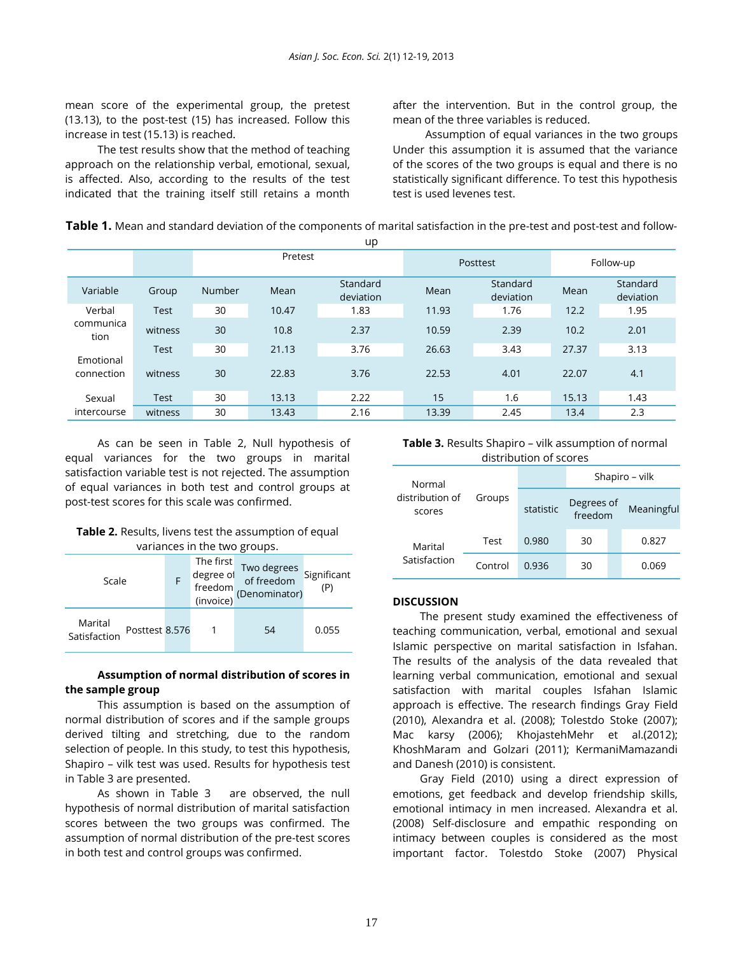mean score of the experimental group, the pretest (13.13), to the post-test (15) has increased. Follow this increase in test (15.13) is reached.

The test results show that the method of teaching approach on the relationship verbal, emotional, sexual, is affected. Also, according to the results of the test indicated that the training itself still retains a month

after the intervention. But in the control group, the mean of the three variables is reduced.

Assumption of equal variances in the two groups Under this assumption it is assumed that the variance of the scores of the two groups is equal and there is no statistically significant difference. To test this hypothesis test is used levenes test.

| Table 1. Mean and standard deviation of the components of marital satisfaction in the pre-test and post-test and follow- |  |  |
|--------------------------------------------------------------------------------------------------------------------------|--|--|
|                                                                                                                          |  |  |

| ີ                       |             |         |       |                       |          |                       |           |                       |
|-------------------------|-------------|---------|-------|-----------------------|----------|-----------------------|-----------|-----------------------|
|                         |             | Pretest |       |                       | Posttest |                       | Follow-up |                       |
| Variable                | Group       | Number  | Mean  | Standard<br>deviation | Mean     | Standard<br>deviation | Mean      | Standard<br>deviation |
| Verbal                  | <b>Test</b> | 30      | 10.47 | 1.83                  | 11.93    | 1.76                  | 12.2      | 1.95                  |
| communica<br>tion       | witness     | 30      | 10.8  | 2.37                  | 10.59    | 2.39                  | 10.2      | 2.01                  |
|                         | Test        | 30      | 21.13 | 3.76                  | 26.63    | 3.43                  | 27.37     | 3.13                  |
| Emotional<br>connection | witness     | 30      | 22.83 | 3.76                  | 22.53    | 4.01                  | 22.07     | 4.1                   |
| Sexual                  | <b>Test</b> | 30      | 13.13 | 2.22                  | 15       | 1.6                   | 15.13     | 1.43                  |
| intercourse             | witness     | 30      | 13.43 | 2.16                  | 13.39    | 2.45                  | 13.4      | 2.3                   |

As can be seen in Table 2, Null hypothesis of equal variances for the two groups in marital satisfaction variable test is not rejected. The assumption of equal variances in both test and control groups at post-test scores for this scale was confirmed.

| Table 2. Results, livens test the assumption of equal |
|-------------------------------------------------------|
| variances in the two groups.                          |

| Valiatices III LITE LWO GIUUDS.           |  |           |                                                                                                     |                    |  |  |
|-------------------------------------------|--|-----------|-----------------------------------------------------------------------------------------------------|--------------------|--|--|
| Scale                                     |  | The first | Two degrees<br>of freedom<br>degree of Two degrees<br>freedom of freedom<br>(invoice) (Denominator) | Significant<br>(P) |  |  |
| Marital<br>Posttest 8.576<br>Satisfaction |  |           | 54                                                                                                  | 0.055              |  |  |

## **Assumption of normal distribution of scores in the sample group**

This assumption is based on the assumption of normal distribution of scores and if the sample groups derived tilting and stretching, due to the random selection of people. In this study, to test this hypothesis, Shapiro – vilk test was used. Results for hypothesis test in Table 3 are presented.

As shown in Table 3 are observed, the null hypothesis of normal distribution of marital satisfaction scores between the two groups was confirmed. The assumption of normal distribution of the pre-test scores in both test and control groups was confirmed.

**Table 3.** Results Shapiro – vilk assumption of normal distribution of scores

| Normal                    | Groups  |           | Shapiro – vilk        |  |            |
|---------------------------|---------|-----------|-----------------------|--|------------|
| distribution of<br>scores |         | statistic | Degrees of<br>freedom |  | Meaningful |
| Marital                   | Test    | 0.980     | 30                    |  | 0.827      |
| Satisfaction              | Control | 0.936     | 30                    |  | 0.069      |

## **DISCUSSION**

The present study examined the effectiveness of teaching communication, verbal, emotional and sexual Islamic perspective on marital satisfaction in Isfahan. The results of the analysis of the data revealed that learning verbal communication, emotional and sexual satisfaction with marital couples Isfahan Islamic approach is effective. The research findings Gray Field (2010), Alexandra et al. (2008); Tolestdo Stoke (2007); Mac karsy (2006); KhojastehMehr et al.(2012); KhoshMaram and Golzari (2011); KermaniMamazandi and Danesh (2010) is consistent.

Gray Field (2010) using a direct expression of emotions, get feedback and develop friendship skills, emotional intimacy in men increased. Alexandra et al. (2008) Self-disclosure and empathic responding on intimacy between couples is considered as the most important factor. Tolestdo Stoke (2007) Physical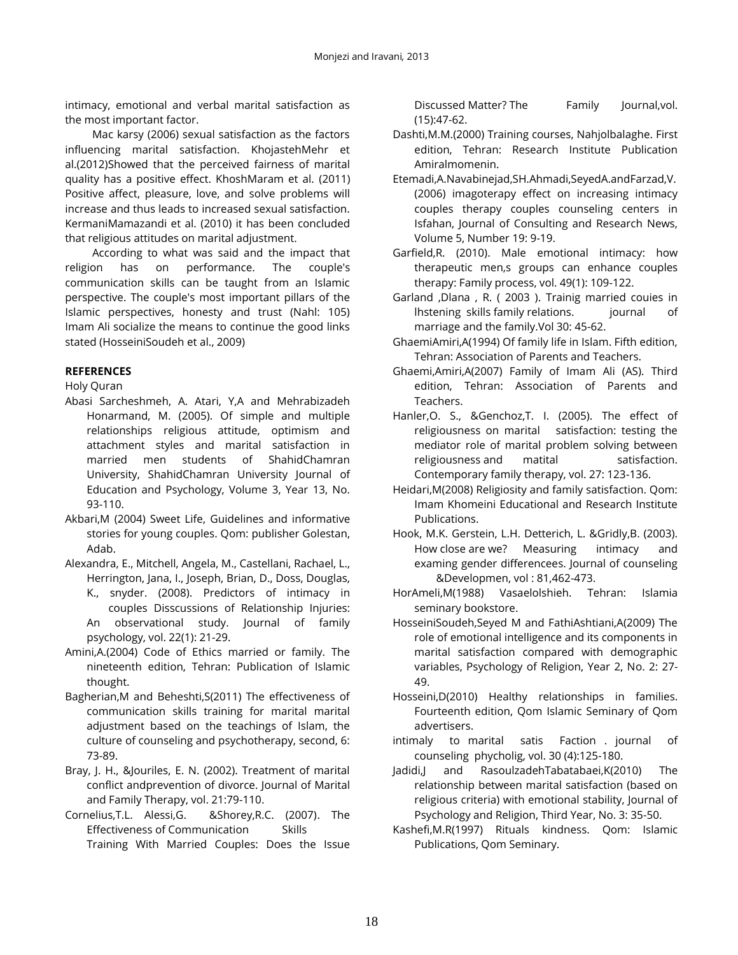intimacy, emotional and verbal marital satisfaction as the most important factor.

Mac karsy (2006) sexual satisfaction as the factors influencing marital satisfaction. KhojastehMehr et al.(2012)Showed that the perceived fairness of marital quality has a positive effect. KhoshMaram et al. (2011) Positive affect, pleasure, love, and solve problems will increase and thus leads to increased sexual satisfaction. KermaniMamazandi et al. (2010) it has been concluded that religious attitudes on marital adjustment.

According to what was said and the impact that religion has on performance. The couple's communication skills can be taught from an Islamic perspective. The couple's most important pillars of the Islamic perspectives, honesty and trust (Nahl: 105) Imam Ali socialize the means to continue the good links stated (HosseiniSoudeh et al., 2009)

## **REFERENCES**

Holy Quran

- Abasi Sarcheshmeh, A. Atari, Y,A and Mehrabizadeh Honarmand, M. (2005). Of simple and multiple relationships religious attitude, optimism and attachment styles and marital satisfaction in married men students of ShahidChamran University, ShahidChamran University Journal of Education and Psychology, Volume 3, Year 13, No. 93-110.
- Akbari,M (2004) Sweet Life, Guidelines and informative stories for young couples. Qom: publisher Golestan, Adab.
- Alexandra, E., Mitchell, Angela, M., Castellani, Rachael, L., Herrington, Jana, I., Joseph, Brian, D., Doss, Douglas,
	- K., snyder. (2008). Predictors of intimacy in couples Disscussions of Relationship Injuries: An observational study. Journal of family psychology, vol. 22(1): 21-29.
- Amini,A.(2004) Code of Ethics married or family. The nineteenth edition, Tehran: Publication of Islamic thought.
- Bagherian,M and Beheshti,S(2011) The effectiveness of communication skills training for marital marital adjustment based on the teachings of Islam, the culture of counseling and psychotherapy, second, 6: 73-89.
- Bray, J. H., &Jouriles, E. N. (2002). Treatment of marital conflict andprevention of divorce. Journal of Marital and Family Therapy, vol. 21:79-110.
- Cornelius,T.L. Alessi,G. &Shorey,R.C. (2007). The Effectiveness of Communication Skills Training With Married Couples: Does the Issue

Discussed Matter? The Family Journal,vol. (15):47-62.

- Dashti,M.M.(2000) Training courses, Nahjolbalaghe. First edition, Tehran: Research Institute Publication Amiralmomenin.
- Etemadi,A.Navabinejad,SH.Ahmadi,SeyedA.andFarzad,V. (2006) imagoterapy effect on increasing intimacy couples therapy couples counseling centers in Isfahan, Journal of Consulting and Research News, Volume 5, Number 19: 9-19.
- Garfield,R. (2010). Male emotional intimacy: how therapeutic men,s groups can enhance couples therapy: Family process, vol. 49(1): 109-122.
- Garland ,Dlana , R. ( 2003 ). Trainig married couies in lhstening skills family relations. journal of marriage and the family.Vol 30: 45-62.
- GhaemiAmiri,A(1994) Of family life in Islam. Fifth edition, Tehran: Association of Parents and Teachers.
- Ghaemi,Amiri,A(2007) Family of Imam Ali (AS). Third edition, Tehran: Association of Parents and Teachers.
- Hanler,O. S., &Genchoz,T. I. (2005). The effect of religiousness on marital satisfaction: testing the mediator role of marital problem solving between religiousness and matital satisfaction. Contemporary family therapy, vol. 27: 123-136.
- Heidari,M(2008) Religiosity and family satisfaction. Qom: Imam Khomeini Educational and Research Institute Publications.
- Hook, M.K. Gerstein, L.H. Detterich, L. &Gridly,B. (2003). How close are we? Measuring intimacy and examing gender differencees. Journal of counseling &Developmen, vol : 81,462-473.
- HorAmeli,M(1988) Vasaelolshieh. Tehran: Islamia seminary bookstore.
- HosseiniSoudeh,Seyed M and FathiAshtiani,A(2009) The role of emotional intelligence and its components in marital satisfaction compared with demographic variables, Psychology of Religion, Year 2, No. 2: 27- 49.
- Hosseini,D(2010) Healthy relationships in families. Fourteenth edition, Qom Islamic Seminary of Qom advertisers.
- intimaly to marital satis Faction . journal of counseling phycholig, vol. 30 (4):125-180.
- Jadidi,J and RasoulzadehTabatabaei,K(2010) The relationship between marital satisfaction (based on religious criteria) with emotional stability, Journal of Psychology and Religion, Third Year, No. 3: 35-50.
- Kashefi,M.R(1997) Rituals kindness. Qom: Islamic Publications, Qom Seminary.